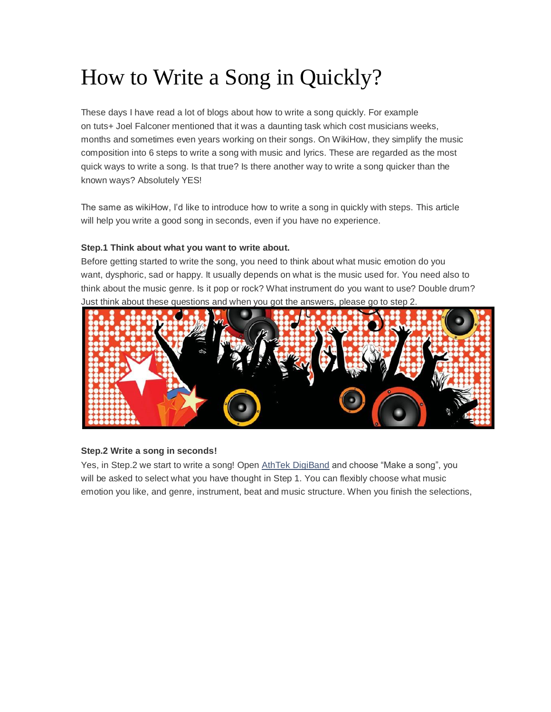# How to Write a Song in Quickly?

These days I have read a lot of blogs about how to write a song quickly. For example on tuts+ Joel Falconer mentioned that it was a daunting task which cost musicians weeks, months and sometimes even years working on their songs. On WikiHow, they simplify the music composition into 6 steps to write a song with music and lyrics. These are regarded as the most quick ways to write a song. Is that true? Is there another way to write a song quicker than the known ways? Absolutely YES!

The same as wikiHow, I'd like to introduce how to write a song in quickly with steps. This article will help you write a good song in seconds, even if you have no experience.

# **Step.1 Think about what you want to write about.**

Before getting started to write the song, you need to think about what music emotion do you want, dysphoric, sad or happy. It usually depends on what is the music used for. You need also to think about the music genre. Is it pop or rock? What instrument do you want to use? Double drum? Just think about these questions and when you got the answers, please go to step 2.



# **Step.2 Write a song in seconds!**

Yes, in Step.2 we start to write a song! Open AthTek [DigiBand](http://www.athtek.com/blog/2013/05/04/athtek-digiband-v1-4-has-been-released/) and choose "Make a song", you will be asked to select what you have thought in Step 1. You can flexibly choose what music emotion you like, and genre, instrument, beat and music structure. When you finish the selections,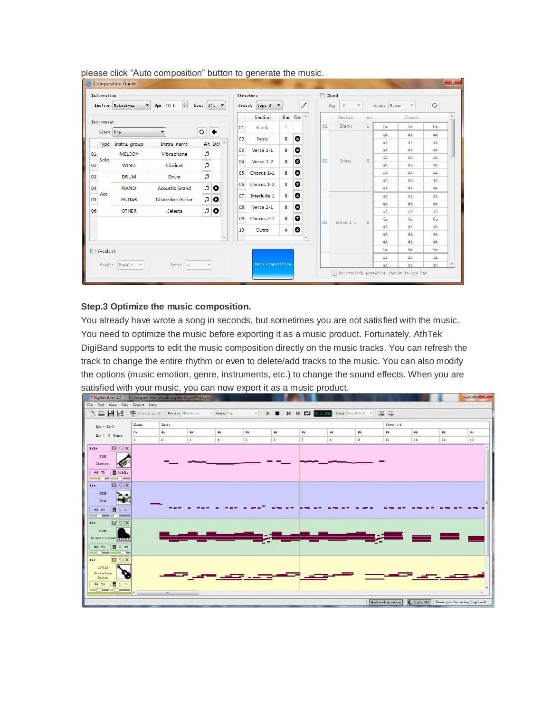| Information                                 |                                |                          |                      |         | Structure |                  |                      |              | Chord |                    |              |             |          |            |  |
|---------------------------------------------|--------------------------------|--------------------------|----------------------|---------|-----------|------------------|----------------------|--------------|-------|--------------------|--------------|-------------|----------|------------|--|
|                                             | Emotion Melodious<br>$\bullet$ | 츳<br>93.0<br>Bpm         | Beat $3/4$ $\bullet$ |         | Preset    | Type 3           | $\blacktriangledown$ | $\mathcal I$ |       | $\mathbb C$<br>Key |              | Scale Minor |          | $_{\rm G}$ |  |
|                                             |                                |                          |                      |         |           | Section          |                      | Bar Del      |       | Section            | Len          |             | Chord    |            |  |
| Instrument                                  |                                |                          |                      |         | 01        | Blank            | $\mathbf{1}$         |              | 01    | Blank              | $\mathbf{1}$ | Cm          | Cm       | Cm         |  |
| O<br>۰<br>Genre Pop<br>$\blacktriangledown$ |                                |                          |                      | 02      | Intro     | 8                | o                    |              |       |                    | #A           | #A          | #A       |            |  |
| Type                                        | Instru. group                  | Instru. name             |                      | Alt Del |           | $Verse 1-1$      | 8                    | o            |       | Intro              | 8            | #A          | #A       | #A         |  |
| 01                                          | <b>MELODY</b>                  | Vibraphone               | JJ.                  |         | 03        |                  |                      |              |       |                    |              | #A          | #A       | #A         |  |
| Solo<br>02                                  |                                |                          |                      |         | 04        | Verse 1-2        | 8                    | o            | 02    |                    |              | #A          | #A       | #A         |  |
|                                             | <b>WIND</b>                    | Clarinet                 | л                    |         |           |                  |                      |              |       |                    |              | #A          | #A       | #A         |  |
| 03                                          | <b>DRUM</b>                    | <b>Drum</b>              | л                    |         | 05        | Chorus 1-1       | 8                    | ۰            |       |                    |              | #A<br>#A    | #A<br>#A | #A<br>#A   |  |
| 04                                          | <b>PIANO</b>                   | <b>Acoustic Grand</b>    | L.                   | O       | 06        | Chorus 1-2       | 8                    | o            |       |                    |              | #A          | #A       | #A         |  |
| Acc.                                        |                                |                          |                      |         | 07        | Interlude 1      | 8                    | ø            |       |                    |              | 岩           | #A       | #A         |  |
| 05                                          | <b>GUITAR</b>                  | <b>Distortion Guitar</b> | L.                   | ø       |           |                  |                      |              |       |                    |              | #A          | #A       | #A         |  |
| 06                                          | <b>OTHER</b>                   | Celesta                  | r.                   | o       | 08<br>09  | Verse 2-1        | 8                    | o            |       |                    | 8            | #A          | #A       | #A         |  |
|                                             |                                |                          |                      |         |           | Chorus 2-1       | 8                    | o            |       | Verse 1-1          |              | Gm          | Gm       | Gm         |  |
|                                             |                                |                          |                      |         | 10        | Outro            | 4                    | o            | 03    |                    |              | 岩点          | #A       | #A         |  |
|                                             |                                |                          |                      |         |           |                  |                      |              |       |                    | #A           | #A          | #A       |            |  |
| Vocalist                                    |                                |                          |                      |         |           |                  |                      |              |       |                    |              | #A          | #A       | #A         |  |
|                                             |                                |                          |                      |         |           |                  |                      |              |       |                    |              | Gm          | Gm       | Gm         |  |
|                                             |                                |                          |                      |         |           |                  |                      |              |       |                    | #A           | #A          | #A       |            |  |
|                                             | Gender Female =                | Lyric a                  | $\mathcal{A}$        |         |           | Auto composition |                      |              |       |                    |              | #A          | #A       | #A         |  |

please click "Auto composition" button to generate the music.

## **Step.3 Optimize the music composition.**

You already have wrote a song in seconds, but sometimes you are not satisfied with the music. You need to optimize the music before exporting it as a music product. Fortunately, AthTek DigiBand supports to edit the music composition directly on the music tracks. You can refresh the track to change the entire rhythm or even to delete/add tracks to the music. You can also modify the options (music emotion, genre, instruments, etc.) to change the sound effects. When you are satisfied with your music, you can now export it as a music product.

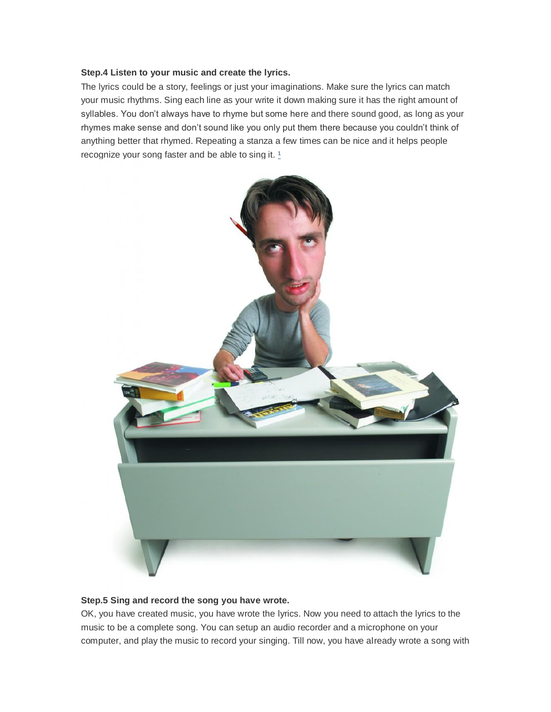### **Step.4 Listen to your music and create the lyrics.**

The lyrics could be a story, feelings or just your imaginations. Make sure the lyrics can match your music rhythms. Sing each line as your write it down making sure it has the right amount of syllables. You don't always have to rhyme but some here and there sound good, as long as your rhymes make sense and don't sound like you only put them there because you couldn't think of anything better that rhymed. Repeating a stanza a few times can be nice and it helps people recognize your song faster and be able to sing it.  $1$ 



### **Step.5 Sing and record the song you have wrote.**

OK, you have created music, you have wrote the lyrics. Now you need to attach the lyrics to the music to be a complete song. You can setup an audio recorder and a microphone on your computer, and play the music to record your singing. Till now, you have already wrote a song with